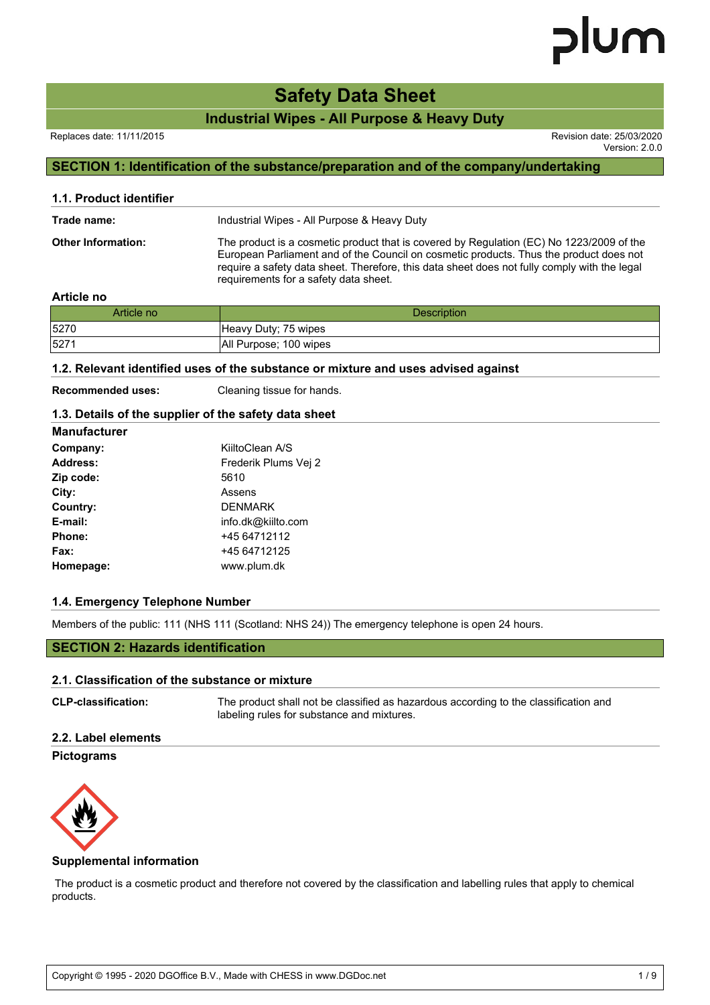# **Safety Data Sheet**

**Industrial Wipes - All Purpose & Heavy Duty**

Version: 2.0.0

# **SECTION 1: Identification of the substance/preparation and of the company/undertaking**

| 1.1. Product identifier   |                                                                                                                                                                                                                                                                                                                             |
|---------------------------|-----------------------------------------------------------------------------------------------------------------------------------------------------------------------------------------------------------------------------------------------------------------------------------------------------------------------------|
| Trade name:               | Industrial Wipes - All Purpose & Heavy Duty                                                                                                                                                                                                                                                                                 |
| <b>Other Information:</b> | The product is a cosmetic product that is covered by Regulation (EC) No 1223/2009 of the<br>European Parliament and of the Council on cosmetic products. Thus the product does not<br>require a safety data sheet. Therefore, this data sheet does not fully comply with the legal<br>requirements for a safety data sheet. |

## **Article no**

| Article no | <b>Description</b>     |
|------------|------------------------|
| 5270       | Heavy Duty; 75 wipes   |
| 527        | All Purpose; 100 wipes |

### **1.2. Relevant identified uses of the substance or mixture and uses advised against**

**Recommended uses:** Cleaning tissue for hands.

# **1.3. Details of the supplier of the safety data sheet**

| <b>Manufacturer</b> |                      |
|---------------------|----------------------|
| Company:            | KiiltoClean A/S      |
| <b>Address:</b>     | Frederik Plums Vej 2 |
| Zip code:           | 5610                 |
| City:               | Assens               |
| Country:            | <b>DENMARK</b>       |
| E-mail:             | info.dk@kiilto.com   |
| Phone:              | +45 64712112         |
| Fax:                | +45 64712125         |
| Homepage:           | www.plum.dk          |

# **1.4. Emergency Telephone Number**

Members of the public: 111 (NHS 111 (Scotland: NHS 24)) The emergency telephone is open 24 hours.

# **SECTION 2: Hazards identification**

#### **2.1. Classification of the substance or mixture**

| <b>CLP-classification:</b> | The product shall not be classified as hazardous according to the classification and |
|----------------------------|--------------------------------------------------------------------------------------|
|                            | labeling rules for substance and mixtures.                                           |

# **2.2. Label elements**

#### **Pictograms**



## **Supplemental information**

 The product is a cosmetic product and therefore not covered by the classification and labelling rules that apply to chemical products.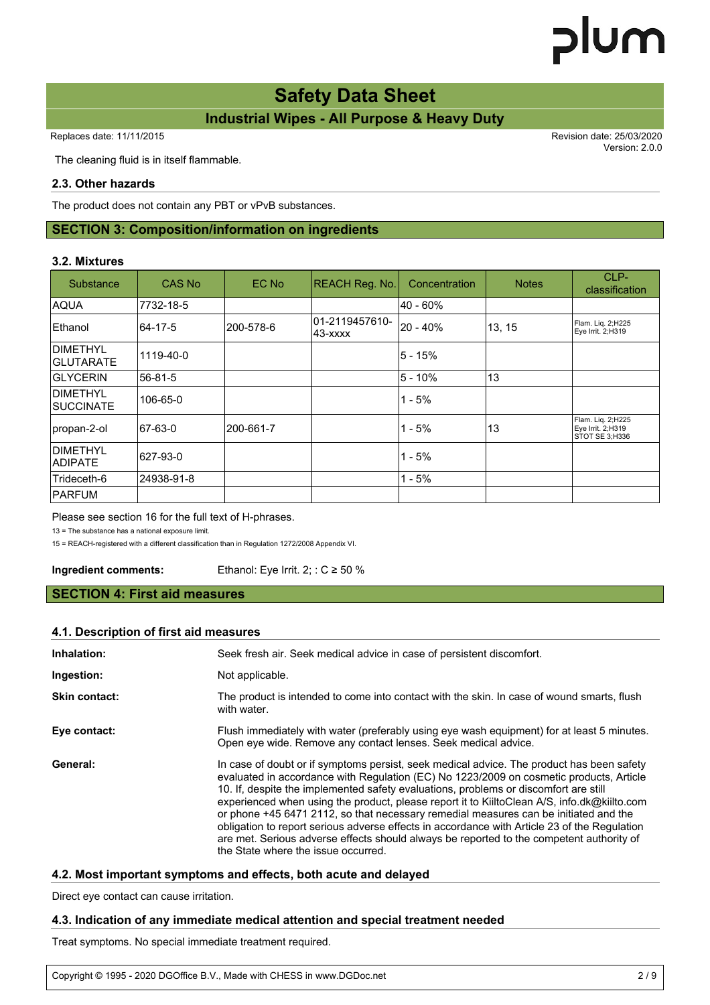# **Safety Data Sheet**

# **Industrial Wipes - All Purpose & Heavy Duty**

Replaces date: 11/11/2015 **Replaces** date: 25/03/2020

Version: 2.0.0

The cleaning fluid is in itself flammable.

# **2.3. Other hazards**

The product does not contain any PBT or vPvB substances.

# **SECTION 3: Composition/information on ingredients**

# **3.2. Mixtures**

| Substance                         | CAS No     | EC No      | REACH Reg. No.             | Concentration | <b>Notes</b> | CLP-<br>classification                                   |
|-----------------------------------|------------|------------|----------------------------|---------------|--------------|----------------------------------------------------------|
| <b>AQUA</b>                       | 7732-18-5  |            |                            | l40 - 60%     |              |                                                          |
| <b>Ethanol</b>                    | 64-17-5    | l200-578-6 | 01-2119457610-<br>143-xxxx | 20 - 40%      | 13, 15       | Flam. Liq. 2;H225<br>Eye Irrit. 2;H319                   |
| DIMETHYL<br><b>GLUTARATE</b>      | 1119-40-0  |            |                            | l5 - 15%      |              |                                                          |
| <b>GLYCERIN</b>                   | 56-81-5    |            |                            | l5 - 10%      | 13           |                                                          |
| IDIMETHYL<br>ISUCCINATE           | 106-65-0   |            |                            | $1 - 5%$      |              |                                                          |
| propan-2-ol                       | 67-63-0    | 200-661-7  |                            | $1 - 5%$      | 13           | Flam. Liq. 2;H225<br>Eye Irrit. 2;H319<br>STOT SE 3:H336 |
| <b>DIMETHYL</b><br><b>ADIPATE</b> | 627-93-0   |            |                            | $1 - 5%$      |              |                                                          |
| Trideceth-6                       | 24938-91-8 |            |                            | $1 - 5%$      |              |                                                          |
| <b>IPARFUM</b>                    |            |            |                            |               |              |                                                          |

## Please see section 16 for the full text of H-phrases.

13 = The substance has a national exposure limit.

15 = REACH-registered with a different classification than in Regulation 1272/2008 Appendix VI.

**Ingredient comments:** Ethanol: Eye Irrit. 2:: C ≥ 50 %

# **SECTION 4: First aid measures**

### **4.1. Description of first aid measures**

| Inhalation:   | Seek fresh air. Seek medical advice in case of persistent discomfort.                                                                                                                                                                                                                                                                                                                                                                                                                                                                                                                                                                                                                                  |
|---------------|--------------------------------------------------------------------------------------------------------------------------------------------------------------------------------------------------------------------------------------------------------------------------------------------------------------------------------------------------------------------------------------------------------------------------------------------------------------------------------------------------------------------------------------------------------------------------------------------------------------------------------------------------------------------------------------------------------|
| Ingestion:    | Not applicable.                                                                                                                                                                                                                                                                                                                                                                                                                                                                                                                                                                                                                                                                                        |
| Skin contact: | The product is intended to come into contact with the skin. In case of wound smarts, flush<br>with water.                                                                                                                                                                                                                                                                                                                                                                                                                                                                                                                                                                                              |
| Eye contact:  | Flush immediately with water (preferably using eye wash equipment) for at least 5 minutes.<br>Open eye wide. Remove any contact lenses. Seek medical advice.                                                                                                                                                                                                                                                                                                                                                                                                                                                                                                                                           |
| General:      | In case of doubt or if symptoms persist, seek medical advice. The product has been safety<br>evaluated in accordance with Regulation (EC) No 1223/2009 on cosmetic products, Article<br>10. If, despite the implemented safety evaluations, problems or discomfort are still<br>experienced when using the product, please report it to KiiltoClean A/S, info.dk@kiilto.com<br>or phone +45 6471 2112, so that necessary remedial measures can be initiated and the<br>obligation to report serious adverse effects in accordance with Article 23 of the Regulation<br>are met. Serious adverse effects should always be reported to the competent authority of<br>the State where the issue occurred. |

# **4.2. Most important symptoms and effects, both acute and delayed**

Direct eye contact can cause irritation.

# **4.3. Indication of any immediate medical attention and special treatment needed**

Treat symptoms. No special immediate treatment required.

Copyright © 1995 - 2020 DGOffice B.V., Made with CHESS in www.DGDoc.net 2 / 9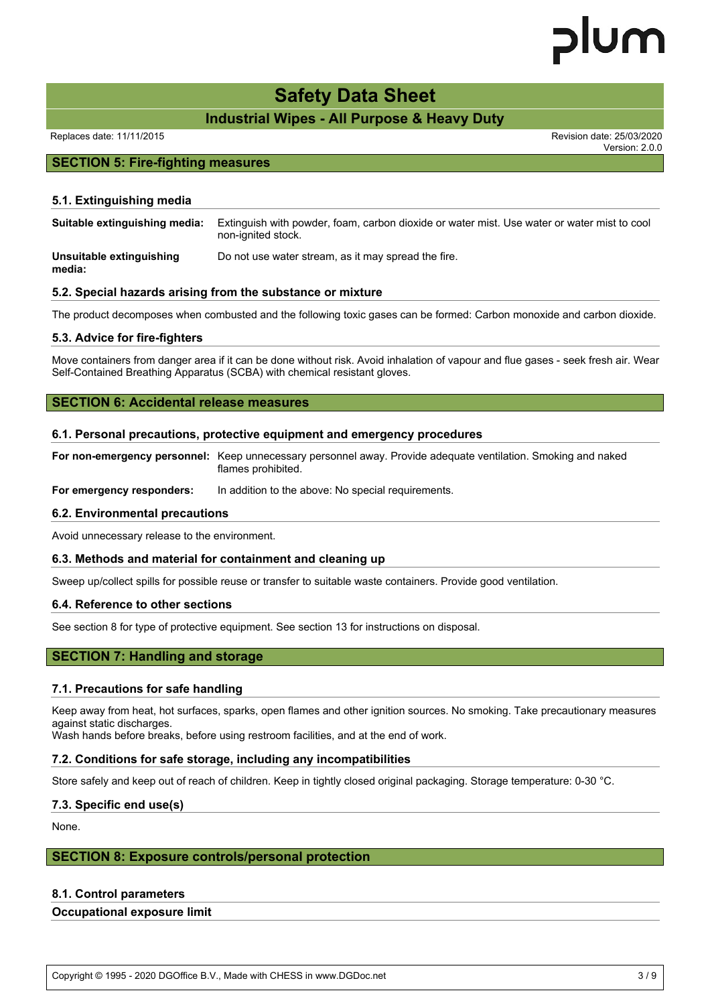# lum

# **Safety Data Sheet**

# **Industrial Wipes - All Purpose & Heavy Duty**

Replaces date: 11/11/2015 Revision date: 25/03/2020

Version: 2.0.0

# **SECTION 5: Fire-fighting measures**

## **5.1. Extinguishing media**

| Suitable extinguishing media:                              | Extinguish with powder, foam, carbon dioxide or water mist. Use water or water mist to cool<br>non-ignited stock. |
|------------------------------------------------------------|-------------------------------------------------------------------------------------------------------------------|
| Unsuitable extinguishing<br>media:                         | Do not use water stream, as it may spread the fire.                                                               |
| 5.2. Special hazards arising from the substance or mixture |                                                                                                                   |

The product decomposes when combusted and the following toxic gases can be formed: Carbon monoxide and carbon dioxide.

### **5.3. Advice for fire-fighters**

Move containers from danger area if it can be done without risk. Avoid inhalation of vapour and flue gases - seek fresh air. Wear Self-Contained Breathing Apparatus (SCBA) with chemical resistant gloves.

# **SECTION 6: Accidental release measures**

#### **6.1. Personal precautions, protective equipment and emergency procedures**

**For non-emergency personnel:** Keep unnecessary personnel away. Provide adequate ventilation. Smoking and naked flames prohibited.

**For emergency responders:** In addition to the above: No special requirements.

#### **6.2. Environmental precautions**

Avoid unnecessary release to the environment.

#### **6.3. Methods and material for containment and cleaning up**

Sweep up/collect spills for possible reuse or transfer to suitable waste containers. Provide good ventilation.

#### **6.4. Reference to other sections**

See section 8 for type of protective equipment. See section 13 for instructions on disposal.

# **SECTION 7: Handling and storage**

#### **7.1. Precautions for safe handling**

Keep away from heat, hot surfaces, sparks, open flames and other ignition sources. No smoking. Take precautionary measures against static discharges.

Wash hands before breaks, before using restroom facilities, and at the end of work.

#### **7.2. Conditions for safe storage, including any incompatibilities**

Store safely and keep out of reach of children. Keep in tightly closed original packaging. Storage temperature: 0-30 °C.

### **7.3. Specific end use(s)**

None.

## **SECTION 8: Exposure controls/personal protection**

### **8.1. Control parameters**

#### **Occupational exposure limit**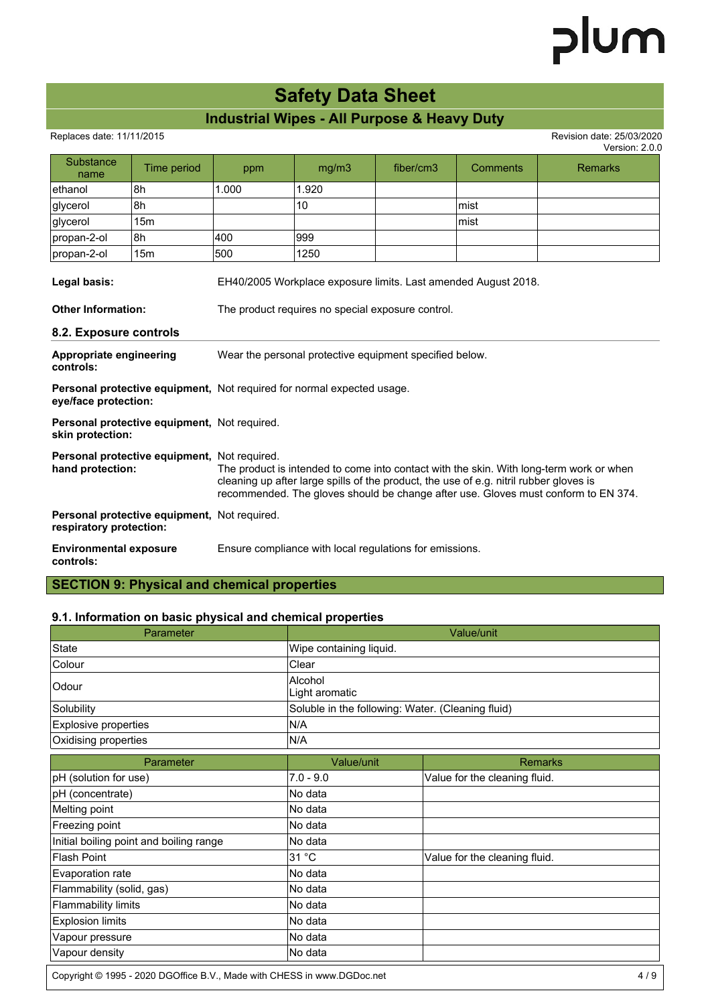# **Safety Data Sheet**

# **Industrial Wipes - All Purpose & Heavy Duty**

Replaces date: 11/11/2015 Revision date: 25/03/2020

|                                            |                                                                                                                                                                                                                                                                                                                         |       |                                                                               |           |                                                                | Version: 2.0.0 |
|--------------------------------------------|-------------------------------------------------------------------------------------------------------------------------------------------------------------------------------------------------------------------------------------------------------------------------------------------------------------------------|-------|-------------------------------------------------------------------------------|-----------|----------------------------------------------------------------|----------------|
| Substance<br>name                          | Time period                                                                                                                                                                                                                                                                                                             | ppm   | mg/m3                                                                         | fiber/cm3 | Comments                                                       | <b>Remarks</b> |
| ethanol                                    | 8h                                                                                                                                                                                                                                                                                                                      | 1.000 | 1.920                                                                         |           |                                                                |                |
| glycerol                                   | 8h                                                                                                                                                                                                                                                                                                                      |       | 10                                                                            |           | lmist                                                          |                |
| glycerol                                   | 15 <sub>m</sub>                                                                                                                                                                                                                                                                                                         |       |                                                                               |           | lmist                                                          |                |
| propan-2-ol                                | 8h                                                                                                                                                                                                                                                                                                                      | 400   | 999                                                                           |           |                                                                |                |
| propan-2-ol                                | 15 <sub>m</sub>                                                                                                                                                                                                                                                                                                         | 500   | 1250                                                                          |           |                                                                |                |
| Legal basis:                               |                                                                                                                                                                                                                                                                                                                         |       |                                                                               |           | EH40/2005 Workplace exposure limits. Last amended August 2018. |                |
| <b>Other Information:</b>                  |                                                                                                                                                                                                                                                                                                                         |       | The product requires no special exposure control.                             |           |                                                                |                |
| 8.2. Exposure controls                     |                                                                                                                                                                                                                                                                                                                         |       |                                                                               |           |                                                                |                |
| Appropriate engineering<br>controls:       |                                                                                                                                                                                                                                                                                                                         |       | Wear the personal protective equipment specified below.                       |           |                                                                |                |
| eye/face protection:                       |                                                                                                                                                                                                                                                                                                                         |       | <b>Personal protective equipment, Not required for normal expected usage.</b> |           |                                                                |                |
| skin protection:                           | Personal protective equipment, Not required.                                                                                                                                                                                                                                                                            |       |                                                                               |           |                                                                |                |
| hand protection:                           | Personal protective equipment, Not required.<br>The product is intended to come into contact with the skin. With long-term work or when<br>cleaning up after large spills of the product, the use of e.g. nitril rubber gloves is<br>recommended. The gloves should be change after use. Gloves must conform to EN 374. |       |                                                                               |           |                                                                |                |
| respiratory protection:                    | Personal protective equipment, Not required.                                                                                                                                                                                                                                                                            |       |                                                                               |           |                                                                |                |
| <b>Environmental exposure</b><br>controls: |                                                                                                                                                                                                                                                                                                                         |       | Ensure compliance with local regulations for emissions.                       |           |                                                                |                |

**SECTION 9: Physical and chemical properties**

# **9.1. Information on basic physical and chemical properties**

| Parameter                                                               |                                                   | Value/unit                    |
|-------------------------------------------------------------------------|---------------------------------------------------|-------------------------------|
| State                                                                   | Wipe containing liquid.                           |                               |
| Colour                                                                  | Clear                                             |                               |
| Odour                                                                   | Alcohol<br>Light aromatic                         |                               |
| Solubility                                                              | Soluble in the following: Water. (Cleaning fluid) |                               |
| Explosive properties                                                    | N/A                                               |                               |
| Oxidising properties                                                    | N/A                                               |                               |
| Parameter                                                               | Value/unit                                        | <b>Remarks</b>                |
| pH (solution for use)                                                   | $7.0 - 9.0$                                       | Value for the cleaning fluid. |
| pH (concentrate)                                                        | No data                                           |                               |
| Melting point                                                           | No data                                           |                               |
| Freezing point                                                          | No data                                           |                               |
| Initial boiling point and boiling range                                 | No data                                           |                               |
| <b>Flash Point</b>                                                      | 31 °C                                             | Value for the cleaning fluid. |
| Evaporation rate                                                        | No data                                           |                               |
| Flammability (solid, gas)                                               | No data                                           |                               |
| <b>Flammability limits</b>                                              | No data                                           |                               |
| <b>Explosion limits</b>                                                 | No data                                           |                               |
| Vapour pressure                                                         | No data                                           |                               |
| Vapour density                                                          | No data                                           |                               |
| Copyright © 1995 - 2020 DGOffice B.V., Made with CHESS in www.DGDoc.net |                                                   | 4/9                           |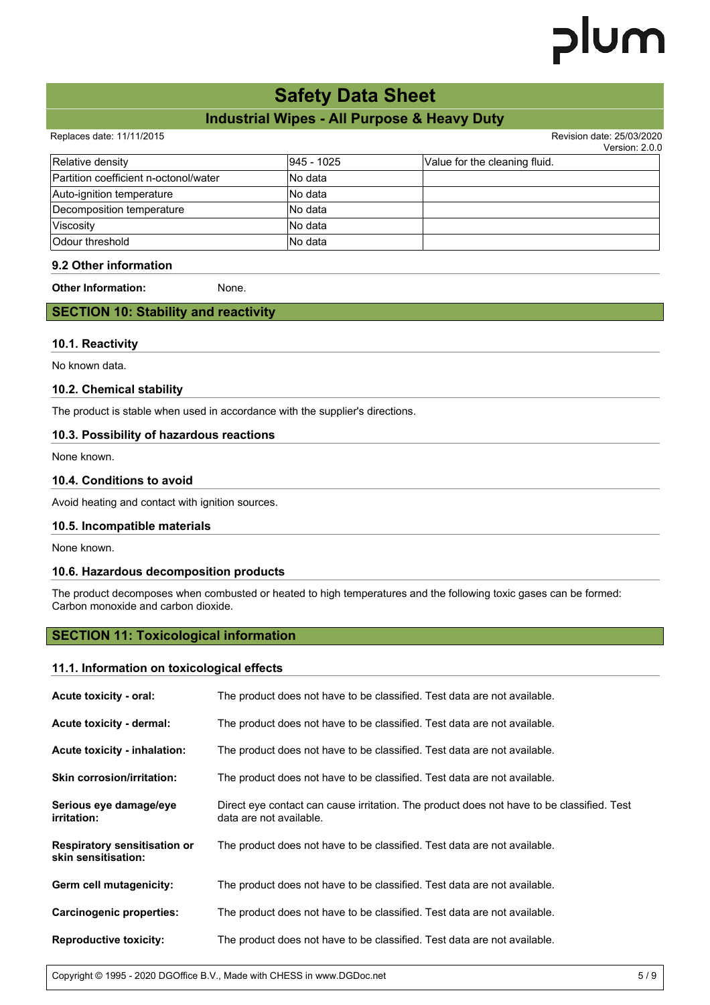# **Safety Data Sheet**

# **Industrial Wipes - All Purpose & Heavy Duty**

Replaces date: 11/11/2015 Revision date: 25/03/2020

Version: 2.0.0

|                                       |            | VEISIUII. Z.V.U               |
|---------------------------------------|------------|-------------------------------|
| Relative density                      | 945 - 1025 | Value for the cleaning fluid. |
| Partition coefficient n-octonol/water | INo data   |                               |
| Auto-ignition temperature             | INo data   |                               |
| Decomposition temperature             | INo data   |                               |
| Viscosity                             | INo data   |                               |
| Odour threshold                       | INo data   |                               |

# **9.2 Other information**

**Other Information:** None.

# **SECTION 10: Stability and reactivity**

### **10.1. Reactivity**

No known data.

# **10.2. Chemical stability**

The product is stable when used in accordance with the supplier's directions.

# **10.3. Possibility of hazardous reactions**

None known.

# **10.4. Conditions to avoid**

Avoid heating and contact with ignition sources.

# **10.5. Incompatible materials**

None known.

# **10.6. Hazardous decomposition products**

The product decomposes when combusted or heated to high temperatures and the following toxic gases can be formed: Carbon monoxide and carbon dioxide.

# **SECTION 11: Toxicological information**

#### **11.1. Information on toxicological effects**

| Acute toxicity - oral:                                     | The product does not have to be classified. Test data are not available.                                             |
|------------------------------------------------------------|----------------------------------------------------------------------------------------------------------------------|
| Acute toxicity - dermal:                                   | The product does not have to be classified. Test data are not available.                                             |
| Acute toxicity - inhalation:                               | The product does not have to be classified. Test data are not available.                                             |
| <b>Skin corrosion/irritation:</b>                          | The product does not have to be classified. Test data are not available.                                             |
| Serious eye damage/eye<br><i>irritation:</i>               | Direct eye contact can cause irritation. The product does not have to be classified. Test<br>data are not available. |
| <b>Respiratory sensitisation or</b><br>skin sensitisation: | The product does not have to be classified. Test data are not available.                                             |
| Germ cell mutagenicity:                                    | The product does not have to be classified. Test data are not available.                                             |
| Carcinogenic properties:                                   | The product does not have to be classified. Test data are not available.                                             |
| <b>Reproductive toxicity:</b>                              | The product does not have to be classified. Test data are not available.                                             |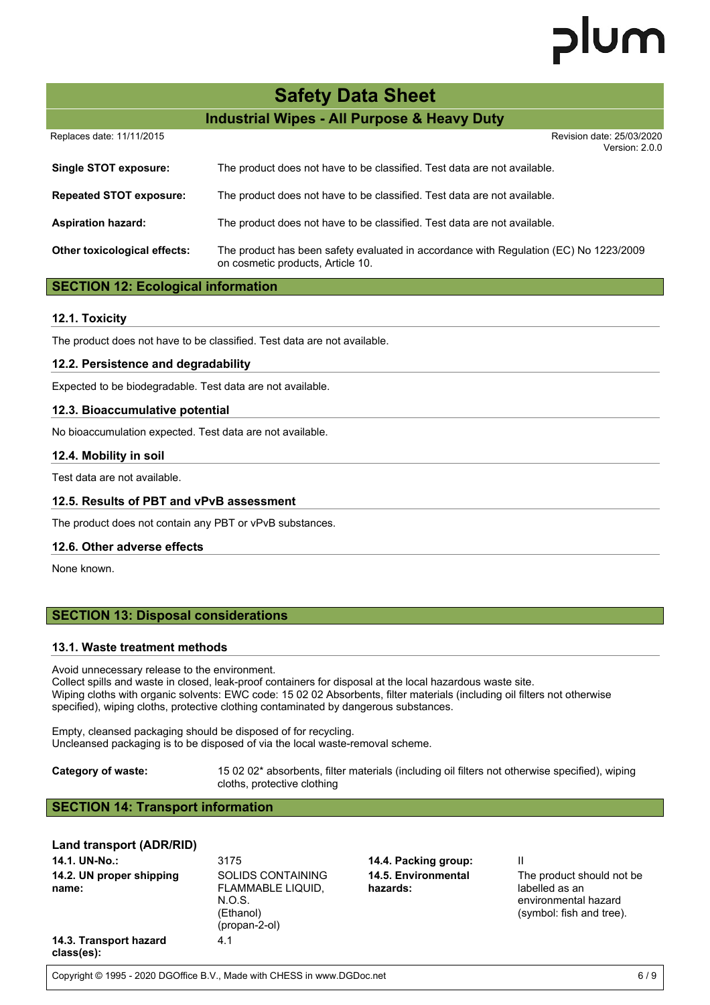# lum

| <b>Safety Data Sheet</b>                               |                                                                                                                            |  |
|--------------------------------------------------------|----------------------------------------------------------------------------------------------------------------------------|--|
| <b>Industrial Wipes - All Purpose &amp; Heavy Duty</b> |                                                                                                                            |  |
| Replaces date: 11/11/2015                              | Revision date: 25/03/2020<br>Version: 2.0.0                                                                                |  |
| Single STOT exposure:                                  | The product does not have to be classified. Test data are not available.                                                   |  |
| <b>Repeated STOT exposure:</b>                         | The product does not have to be classified. Test data are not available.                                                   |  |
| <b>Aspiration hazard:</b>                              | The product does not have to be classified. Test data are not available.                                                   |  |
| Other toxicological effects:                           | The product has been safety evaluated in accordance with Regulation (EC) No 1223/2009<br>on cosmetic products, Article 10. |  |

# **SECTION 12: Ecological information**

# **12.1. Toxicity**

The product does not have to be classified. Test data are not available.

### **12.2. Persistence and degradability**

Expected to be biodegradable. Test data are not available.

### **12.3. Bioaccumulative potential**

No bioaccumulation expected. Test data are not available.

#### **12.4. Mobility in soil**

Test data are not available.

### **12.5. Results of PBT and vPvB assessment**

The product does not contain any PBT or vPvB substances.

### **12.6. Other adverse effects**

None known.

# **SECTION 13: Disposal considerations**

#### **13.1. Waste treatment methods**

Avoid unnecessary release to the environment.

Collect spills and waste in closed, leak-proof containers for disposal at the local hazardous waste site. Wiping cloths with organic solvents: EWC code: 15 02 02 Absorbents, filter materials (including oil filters not otherwise specified), wiping cloths, protective clothing contaminated by dangerous substances.

Empty, cleansed packaging should be disposed of for recycling. Uncleansed packaging is to be disposed of via the local waste-removal scheme.

**Category of waste:** 15 02 02\* absorbents, filter materials (including oil filters not otherwise specified), wiping cloths, protective clothing

# **SECTION 14: Transport information**

# **Land transport (ADR/RID)**

| 14.1. UN-No.:                        | 3175                                                                           | 14.4. Packing group:            |                                                                                                  |
|--------------------------------------|--------------------------------------------------------------------------------|---------------------------------|--------------------------------------------------------------------------------------------------|
| 14.2. UN proper shipping<br>name:    | SOLIDS CONTAINING<br>FLAMMABLE LIQUID,<br>N.O.S.<br>(Ethanol)<br>(propan-2-ol) | 14.5. Environmental<br>hazards: | The product should not be.<br>labelled as an<br>environmental hazard<br>(symbol: fish and tree). |
| 14.3. Transport hazard<br>class(es): | 4.1                                                                            |                                 |                                                                                                  |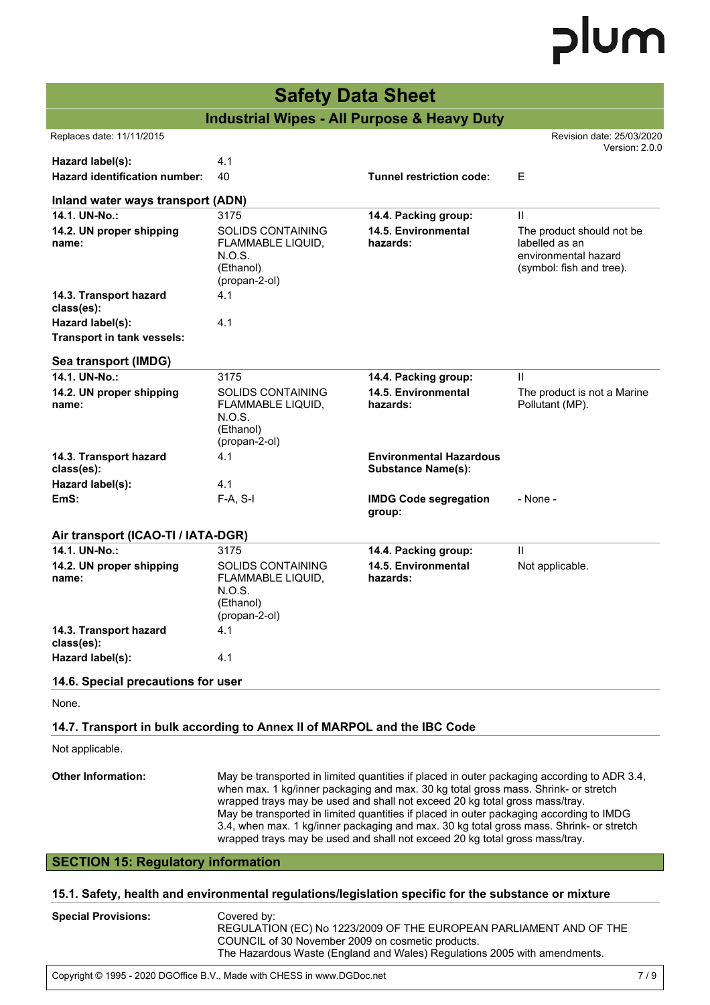| <b>Safety Data Sheet</b>                                                                             |                                                                                                                                                                                                                                                                                                                                                                                                                                                                                                                                       |                                 |                                                                                                 |  |  |
|------------------------------------------------------------------------------------------------------|---------------------------------------------------------------------------------------------------------------------------------------------------------------------------------------------------------------------------------------------------------------------------------------------------------------------------------------------------------------------------------------------------------------------------------------------------------------------------------------------------------------------------------------|---------------------------------|-------------------------------------------------------------------------------------------------|--|--|
| <b>Industrial Wipes - All Purpose &amp; Heavy Duty</b>                                               |                                                                                                                                                                                                                                                                                                                                                                                                                                                                                                                                       |                                 |                                                                                                 |  |  |
| Replaces date: 11/11/2015                                                                            |                                                                                                                                                                                                                                                                                                                                                                                                                                                                                                                                       |                                 | Revision date: 25/03/2020<br>Version: 2.0.0                                                     |  |  |
| Hazard label(s):<br>Hazard identification number:                                                    | 4.1<br>40                                                                                                                                                                                                                                                                                                                                                                                                                                                                                                                             | <b>Tunnel restriction code:</b> | Е                                                                                               |  |  |
| Inland water ways transport (ADN)                                                                    |                                                                                                                                                                                                                                                                                                                                                                                                                                                                                                                                       |                                 |                                                                                                 |  |  |
| 14.1. UN-No.:                                                                                        | 3175                                                                                                                                                                                                                                                                                                                                                                                                                                                                                                                                  | 14.4. Packing group:            | $\mathbf{H}$                                                                                    |  |  |
| 14.2. UN proper shipping<br>name:                                                                    | <b>SOLIDS CONTAINING</b><br>FLAMMABLE LIQUID,<br>N.O.S.<br>(Ethanol)<br>(propan-2-ol)                                                                                                                                                                                                                                                                                                                                                                                                                                                 | 14.5. Environmental<br>hazards: | The product should not be<br>labelled as an<br>environmental hazard<br>(symbol: fish and tree). |  |  |
| 14.3. Transport hazard<br>class(es):                                                                 | 4.1                                                                                                                                                                                                                                                                                                                                                                                                                                                                                                                                   |                                 |                                                                                                 |  |  |
| Hazard label(s):                                                                                     | 4.1                                                                                                                                                                                                                                                                                                                                                                                                                                                                                                                                   |                                 |                                                                                                 |  |  |
| Transport in tank vessels:                                                                           |                                                                                                                                                                                                                                                                                                                                                                                                                                                                                                                                       |                                 |                                                                                                 |  |  |
| Sea transport (IMDG)                                                                                 |                                                                                                                                                                                                                                                                                                                                                                                                                                                                                                                                       |                                 |                                                                                                 |  |  |
| 14.1. UN-No.:                                                                                        | 3175                                                                                                                                                                                                                                                                                                                                                                                                                                                                                                                                  | 14.4. Packing group:            | Ш                                                                                               |  |  |
| 14.2. UN proper shipping<br>name:                                                                    | <b>SOLIDS CONTAINING</b><br>FLAMMABLE LIQUID,<br>N.O.S.<br>(Ethanol)<br>(propan-2-ol)                                                                                                                                                                                                                                                                                                                                                                                                                                                 | 14.5. Environmental<br>hazards: | The product is not a Marine<br>Pollutant (MP).                                                  |  |  |
| 14.3. Transport hazard                                                                               | 4.1                                                                                                                                                                                                                                                                                                                                                                                                                                                                                                                                   | <b>Environmental Hazardous</b>  |                                                                                                 |  |  |
| class(es):                                                                                           |                                                                                                                                                                                                                                                                                                                                                                                                                                                                                                                                       | <b>Substance Name(s):</b>       |                                                                                                 |  |  |
| Hazard label(s):<br>EmS:                                                                             | 4.1<br>$F-A, S-I$                                                                                                                                                                                                                                                                                                                                                                                                                                                                                                                     | <b>IMDG Code segregation</b>    | - None -                                                                                        |  |  |
|                                                                                                      |                                                                                                                                                                                                                                                                                                                                                                                                                                                                                                                                       | group:                          |                                                                                                 |  |  |
| Air transport (ICAO-TI / IATA-DGR)                                                                   |                                                                                                                                                                                                                                                                                                                                                                                                                                                                                                                                       |                                 |                                                                                                 |  |  |
| 14.1. UN-No.:                                                                                        | 3175                                                                                                                                                                                                                                                                                                                                                                                                                                                                                                                                  | 14.4. Packing group:            | Ш                                                                                               |  |  |
| 14.2. UN proper shipping<br>name:                                                                    | SOLIDS CONTAINING<br>FLAMMABLE LIQUID,<br>N.O.S.<br>(Ethanol)<br>(propan-2-ol)                                                                                                                                                                                                                                                                                                                                                                                                                                                        | 14.5. Environmental<br>hazards: | Not applicable.                                                                                 |  |  |
| 14.3. Transport hazard<br>class(es):                                                                 | 4.1                                                                                                                                                                                                                                                                                                                                                                                                                                                                                                                                   |                                 |                                                                                                 |  |  |
| Hazard label(s):                                                                                     | 4.1                                                                                                                                                                                                                                                                                                                                                                                                                                                                                                                                   |                                 |                                                                                                 |  |  |
| 14.6. Special precautions for user                                                                   |                                                                                                                                                                                                                                                                                                                                                                                                                                                                                                                                       |                                 |                                                                                                 |  |  |
| None.                                                                                                |                                                                                                                                                                                                                                                                                                                                                                                                                                                                                                                                       |                                 |                                                                                                 |  |  |
| 14.7. Transport in bulk according to Annex II of MARPOL and the IBC Code                             |                                                                                                                                                                                                                                                                                                                                                                                                                                                                                                                                       |                                 |                                                                                                 |  |  |
| Not applicable.                                                                                      |                                                                                                                                                                                                                                                                                                                                                                                                                                                                                                                                       |                                 |                                                                                                 |  |  |
| <b>Other Information:</b>                                                                            | May be transported in limited quantities if placed in outer packaging according to ADR 3.4,<br>when max. 1 kg/inner packaging and max. 30 kg total gross mass. Shrink- or stretch<br>wrapped trays may be used and shall not exceed 20 kg total gross mass/tray.<br>May be transported in limited quantities if placed in outer packaging according to IMDG<br>3.4, when max. 1 kg/inner packaging and max. 30 kg total gross mass. Shrink- or stretch<br>wrapped trays may be used and shall not exceed 20 kg total gross mass/tray. |                                 |                                                                                                 |  |  |
| <b>SECTION 15: Regulatory information</b>                                                            |                                                                                                                                                                                                                                                                                                                                                                                                                                                                                                                                       |                                 |                                                                                                 |  |  |
| 15.1. Safety, health and environmental regulations/legislation specific for the substance or mixture |                                                                                                                                                                                                                                                                                                                                                                                                                                                                                                                                       |                                 |                                                                                                 |  |  |
|                                                                                                      |                                                                                                                                                                                                                                                                                                                                                                                                                                                                                                                                       |                                 |                                                                                                 |  |  |

| <b>Special Provisions:</b> | Covered by:<br>REGULATION (EC) No 1223/2009 OF THE EUROPEAN PARLIAMENT AND OF THE<br>COUNCIL of 30 November 2009 on cosmetic products.<br>The Hazardous Waste (England and Wales) Regulations 2005 with amendments. |
|----------------------------|---------------------------------------------------------------------------------------------------------------------------------------------------------------------------------------------------------------------|
|                            |                                                                                                                                                                                                                     |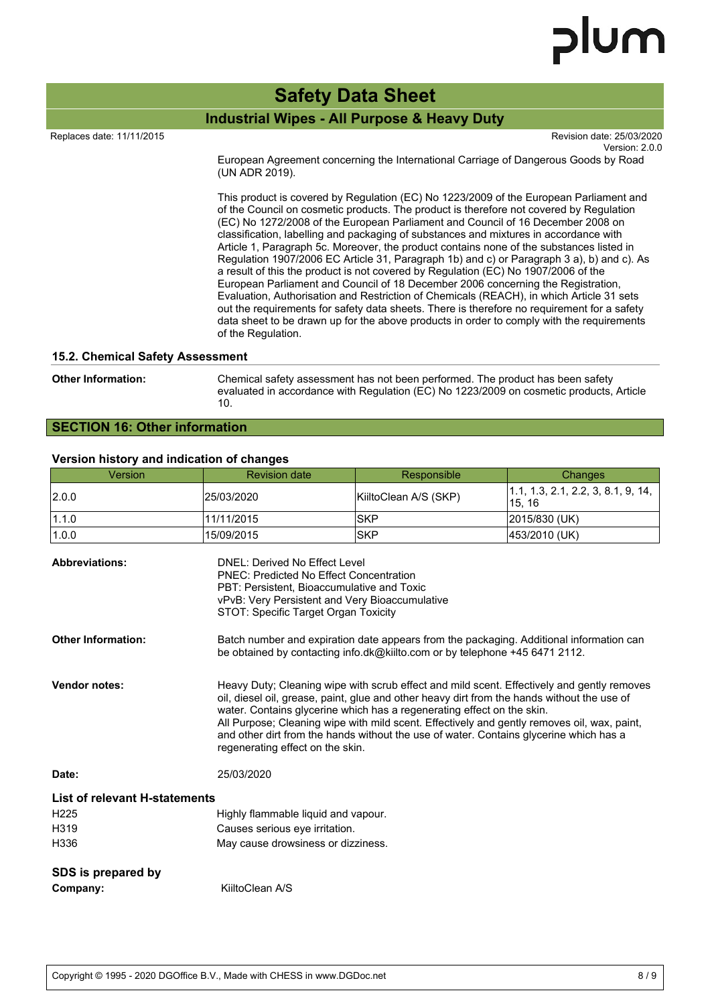# lum

# **Safety Data Sheet**

#### **Industrial Wipes - All Purpose & Heavy Duty**  $R$  and  $R$  is the European parallel of the european parameter  $R$

Replaces date: 11/11/2015 Revision date: 25/03/2020

Version: 2.0.0

The Hazardous Waste (England and Wales) Regulations 2005 with amendments. European Agreement concerning the International Carriage of Dangerous Goods by Road (UN ADR 2019).

This product is covered by Regulation (EC) No 1223/2009 of the European Parliament and of the Council on cosmetic products. The product is therefore not covered by Regulation (EC) No 1272/2008 of the European Parliament and Council of 16 December 2008 on classification, labelling and packaging of substances and mixtures in accordance with Article 1, Paragraph 5c. Moreover, the product contains none of the substances listed in Regulation 1907/2006 EC Article 31, Paragraph 1b) and c) or Paragraph 3 a), b) and c). As a result of this the product is not covered by Regulation (EC) No 1907/2006 of the European Parliament and Council of 18 December 2006 concerning the Registration, Evaluation, Authorisation and Restriction of Chemicals (REACH), in which Article 31 sets out the requirements for safety data sheets. There is therefore no requirement for a safety data sheet to be drawn up for the above products in order to comply with the requirements of the Regulation.

#### **15.2. Chemical Safety Assessment**

**Other Information:** Chemical safety assessment has not been performed. The product has been safety evaluated in accordance with Regulation (EC) No 1223/2009 on cosmetic products, Article 10.

# **SECTION 16: Other information**

#### **Version history and indication of changes**

| Version                        | <b>Revision date</b>                                                                                                                                                                                                                                                                                                                                                                                                                                                                             | Responsible           | Changes                                      |  |
|--------------------------------|--------------------------------------------------------------------------------------------------------------------------------------------------------------------------------------------------------------------------------------------------------------------------------------------------------------------------------------------------------------------------------------------------------------------------------------------------------------------------------------------------|-----------------------|----------------------------------------------|--|
| 2.0.0                          | 25/03/2020                                                                                                                                                                                                                                                                                                                                                                                                                                                                                       | KiiltoClean A/S (SKP) | 1.1, 1.3, 2.1, 2.2, 3, 8.1, 9, 14,<br>15, 16 |  |
| 1.1.0                          | 11/11/2015                                                                                                                                                                                                                                                                                                                                                                                                                                                                                       | <b>SKP</b>            | 2015/830 (UK)                                |  |
| 1.0.0                          | 15/09/2015                                                                                                                                                                                                                                                                                                                                                                                                                                                                                       | <b>SKP</b>            | 453/2010 (UK)                                |  |
| <b>Abbreviations:</b>          | <b>DNEL: Derived No Effect Level</b><br><b>PNEC: Predicted No Effect Concentration</b><br>PBT: Persistent, Bioaccumulative and Toxic<br>vPvB: Very Persistent and Very Bioaccumulative<br>STOT: Specific Target Organ Toxicity                                                                                                                                                                                                                                                                   |                       |                                              |  |
| <b>Other Information:</b>      | Batch number and expiration date appears from the packaging. Additional information can<br>be obtained by contacting info.dk@kiilto.com or by telephone +45 6471 2112.                                                                                                                                                                                                                                                                                                                           |                       |                                              |  |
| <b>Vendor notes:</b>           | Heavy Duty; Cleaning wipe with scrub effect and mild scent. Effectively and gently removes<br>oil, diesel oil, grease, paint, glue and other heavy dirt from the hands without the use of<br>water. Contains glycerine which has a regenerating effect on the skin.<br>All Purpose; Cleaning wipe with mild scent. Effectively and gently removes oil, wax, paint,<br>and other dirt from the hands without the use of water. Contains glycerine which has a<br>regenerating effect on the skin. |                       |                                              |  |
| Date:                          | 25/03/2020                                                                                                                                                                                                                                                                                                                                                                                                                                                                                       |                       |                                              |  |
| List of relevant H-statements  |                                                                                                                                                                                                                                                                                                                                                                                                                                                                                                  |                       |                                              |  |
| H <sub>225</sub>               | Highly flammable liquid and vapour.                                                                                                                                                                                                                                                                                                                                                                                                                                                              |                       |                                              |  |
| H319                           | Causes serious eye irritation.                                                                                                                                                                                                                                                                                                                                                                                                                                                                   |                       |                                              |  |
| H336                           | May cause drowsiness or dizziness.                                                                                                                                                                                                                                                                                                                                                                                                                                                               |                       |                                              |  |
| SDS is prepared by<br>Company: | KiiltoClean A/S                                                                                                                                                                                                                                                                                                                                                                                                                                                                                  |                       |                                              |  |